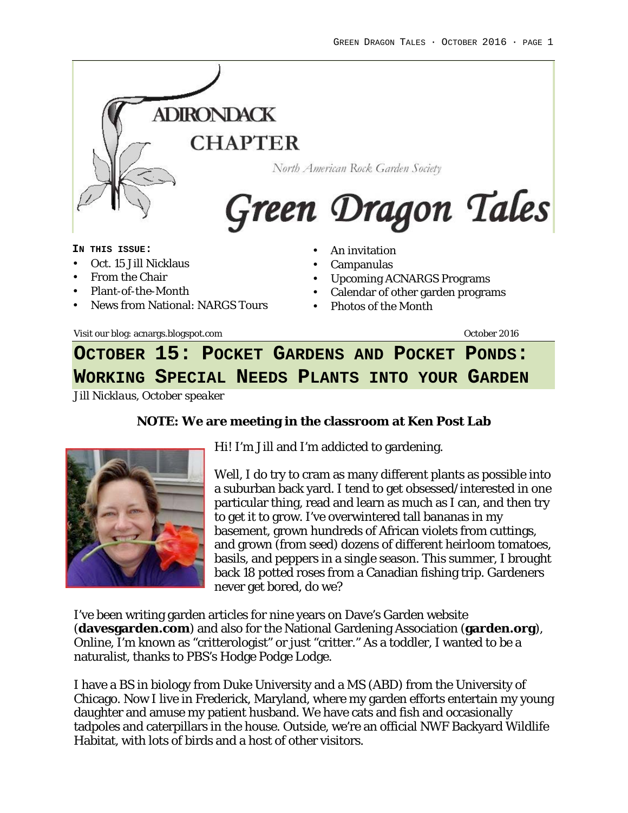

#### **IN THIS ISSUE:**

- Oct. 15 Jill Nicklaus
- From the Chair
- Plant-of-the-Month
- News from National: NARGS Tours
- Calendar of other garden programs

• Campanulas

• Photos of the Month

• Upcoming ACNARGS Programs

Visit our blog: acnargs.blogspot.com October 2016

**OCTOBER 15: POCKET GARDENS AND POCKET PONDS: WORKING SPECIAL NEEDS PLANTS INTO YOUR GARDEN**

*Jill Nicklaus, October speaker*

**NOTE: We are meeting in the classroom at Ken Post Lab**



Hi! I'm Jill and I'm addicted to gardening.

Well, I do try to cram as many different plants as possible into a suburban back yard. I tend to get obsessed/interested in one particular thing, read and learn as much as I can, and then try to get it to grow. I've overwintered tall bananas in my basement, grown hundreds of African violets from cuttings, and grown (from seed) dozens of different heirloom tomatoes, basils, and peppers in a single season. This summer, I brought back 18 potted roses from a Canadian fishing trip. Gardeners never get bored, do we?

I've been writing garden articles for nine years on Dave's Garden website (**davesgarden.com**) and also for the National Gardening Association (**garden.org**), Online, I'm known as "critterologist" or just "critter." As a toddler, I wanted to be a naturalist, thanks to PBS's Hodge Podge Lodge.

I have a BS in biology from Duke University and a MS (ABD) from the University of Chicago. Now I live in Frederick, Maryland, where my garden efforts entertain my young daughter and amuse my patient husband. We have cats and fish and occasionally tadpoles and caterpillars in the house. Outside, we're an official NWF Backyard Wildlife Habitat, with lots of birds and a host of other visitors.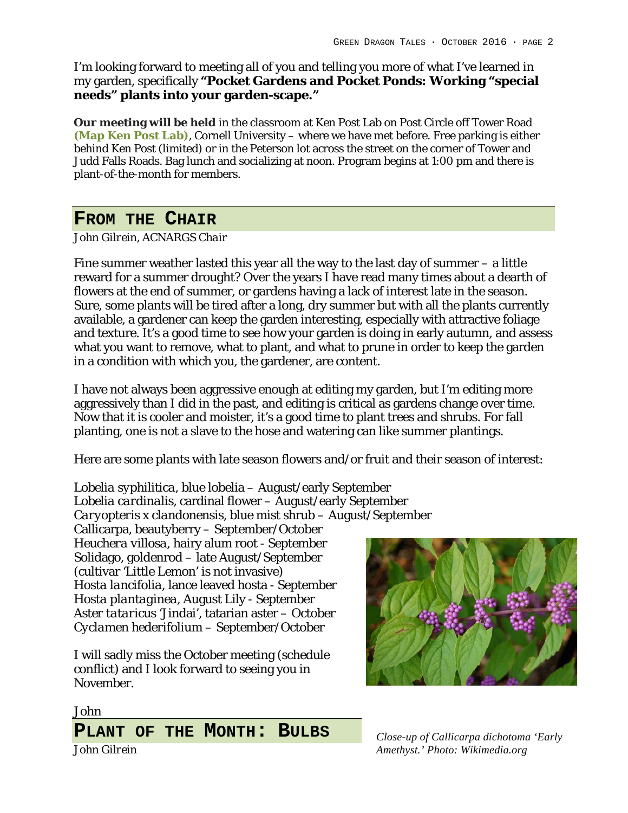I'm looking forward to meeting all of you and telling you more of what I've learned in my garden, specifically **"Pocket Gardens and Pocket Ponds: Working "special needs" plants into your garden-scape."**

**Our meeting will be held** in the classroom at Ken Post Lab on Post Circle off Tower Road **(Map Ken Post Lab)**, Cornell University – where we have met before. Free parking is either behind Ken Post (limited) or in the Peterson lot across the street on the corner of Tower and Judd Falls Roads. Bag lunch and socializing at noon. Program begins at 1:00 pm and there is plant-of-the-month for members.

# **FROM THE CHAIR**

*John Gilrein, ACNARGS Chair*

Fine summer weather lasted this year all the way to the last day of summer – a little reward for a summer drought? Over the years I have read many times about a dearth of flowers at the end of summer, or gardens having a lack of interest late in the season. Sure, some plants will be tired after a long, dry summer but with all the plants currently available, a gardener can keep the garden interesting, especially with attractive foliage and texture. It's a good time to see how your garden is doing in early autumn, and assess what you want to remove, what to plant, and what to prune in order to keep the garden in a condition with which you, the gardener, are content.

I have not always been aggressive enough at editing my garden, but I'm editing more aggressively than I did in the past, and editing is critical as gardens change over time. Now that it is cooler and moister, it's a good time to plant trees and shrubs. For fall planting, one is not a slave to the hose and watering can like summer plantings.

Here are some plants with late season flowers and/or fruit and their season of interest:

*Lobelia syphilitica*, blue lobelia – August/early September *Lobelia cardinalis*, cardinal flower – August/early September *Caryopteris x clandonensis*, blue mist shrub – August/September

Callicarpa, beautyberry – September/October *Heuchera villosa*, hairy alum root - September Solidago, goldenrod – late August/September (cultivar 'Little Lemon' is not invasive) *Hosta lancifolia*, lance leaved hosta - September *Hosta plantaginea*, August Lily - September *Aster tataricus* 'Jindai', tatarian aster – October *Cyclamen hederifolium* – September/October

I will sadly miss the October meeting (schedule conflict) and I look forward to seeing you in November.



*Close-up of Callicarpa dichotoma 'Early Amethyst.' Photo: Wikimedia.org*

John

**PLANT OF THE MONTH: BULBS** *John Gilrein*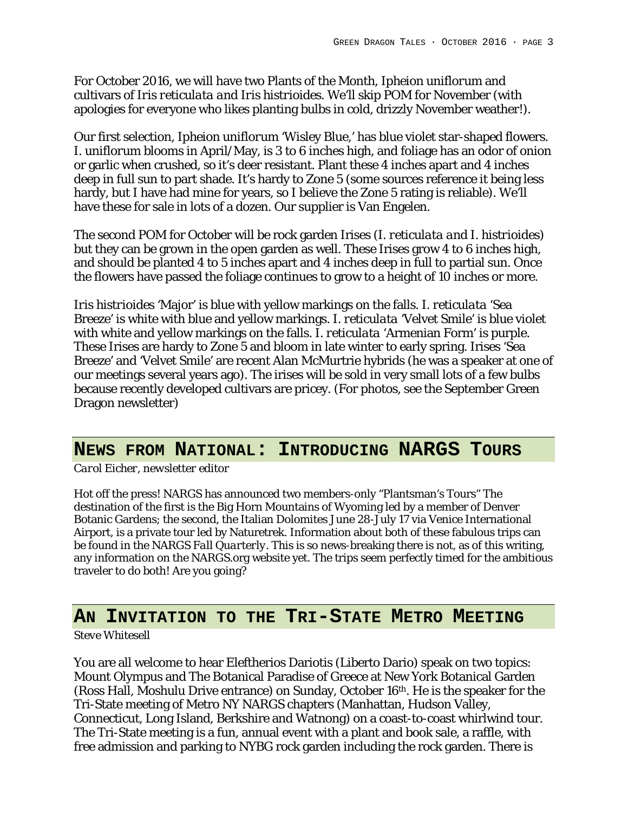For October 2016, we will have two Plants of the Month, *Ipheion uniflorum* and cultivars of *Iris reticulata and Iris histrioides*. We'll skip POM for November (with apologies for everyone who likes planting bulbs in cold, drizzly November weather!).

Our first selection, *Ipheion uniflorum* 'Wisley Blue,' has blue violet star-shaped flowers. *I. uniflorum* blooms in April/May, is 3 to 6 inches high, and foliage has an odor of onion or garlic when crushed, so it's deer resistant. Plant these 4 inches apart and 4 inches deep in full sun to part shade. It's hardy to Zone 5 (some sources reference it being less hardy, but I have had mine for years, so I believe the Zone 5 rating is reliable). We'll have these for sale in lots of a dozen. Our supplier is Van Engelen.

The second POM for October will be rock garden Irises (*I. reticulata and I. histrioides*) but they can be grown in the open garden as well. These Irises grow 4 to 6 inches high, and should be planted 4 to 5 inches apart and 4 inches deep in full to partial sun. Once the flowers have passed the foliage continues to grow to a height of 10 inches or more.

*Iris histrioides* 'Major' is blue with yellow markings on the falls. *I. reticulata* 'Sea Breeze' is white with blue and yellow markings. *I. reticulata* 'Velvet Smile' is blue violet with white and yellow markings on the falls. *I. reticulata* 'Armenian Form' is purple. These Irises are hardy to Zone 5 and bloom in late winter to early spring. Irises 'Sea Breeze' and 'Velvet Smile' are recent Alan McMurtrie hybrids (he was a speaker at one of our meetings several years ago). The irises will be sold in very small lots of a few bulbs because recently developed cultivars are pricey. (For photos, see the September Green Dragon newsletter)

### **NEWS FROM NATIONAL: INTRODUCING NARGS TOURS**

*Carol Eicher, newsletter editor*

Hot off the press! NARGS has announced two members-only "Plantsman's Tours" The destination of the first is the Big Horn Mountains of Wyoming led by a member of Denver Botanic Gardens; the second, the Italian Dolomites June 28-July 17 via Venice International Airport, is a private tour led by Naturetrek. Information about both of these fabulous trips can be found in the NARGS *Fall Quarterly*. This is so news-breaking there is not, as of this writing, any information on the NARGS.org website yet. The trips seem perfectly timed for the ambitious traveler to do both! Are you going?

# **AN INVITATION TO THE TRI-STATE METRO MEETING**

### *Steve Whitesell*

You are all welcome to hear Eleftherios Dariotis (Liberto Dario) speak on two topics: Mount Olympus and The Botanical Paradise of Greece at New York Botanical Garden (Ross Hall, Moshulu Drive entrance) on Sunday, October 16th. He is the speaker for the Tri-State meeting of Metro NY NARGS chapters (Manhattan, Hudson Valley, Connecticut, Long Island, Berkshire and Watnong) on a coast-to-coast whirlwind tour. The Tri-State meeting is a fun, annual event with a plant and book sale, a raffle, with free admission and parking to NYBG rock garden including the rock garden. There is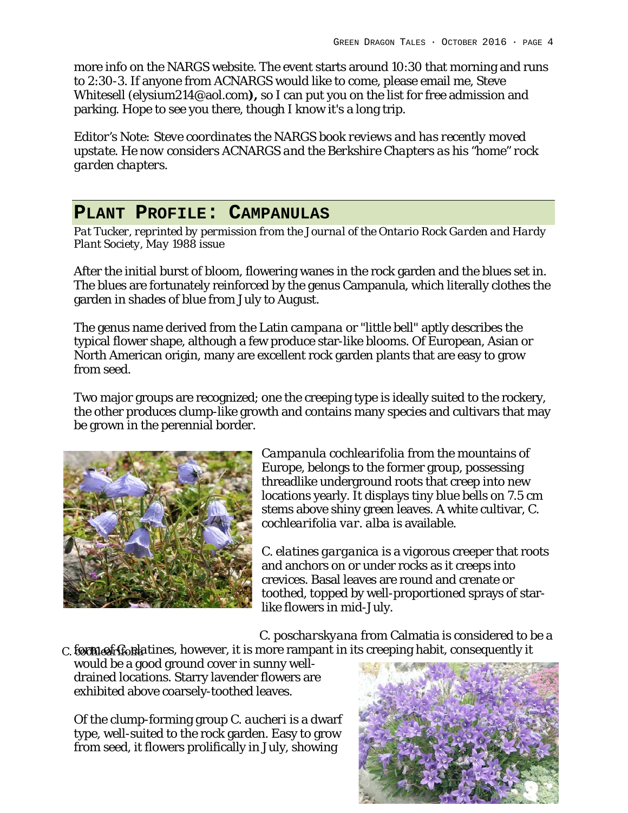more info on the NARGS website. The event starts around 10:30 that morning and runs to 2:30-3. If anyone from ACNARGS would like to come, please email me, Steve Whitesell (elysium214@aol.com**),** so I can put you on the list for free admission and parking. Hope to see you there, though I know it's a long trip.

*Editor's Note: Steve coordinates the NARGS book reviews and has recently moved upstate. He now considers ACNARGS and the Berkshire Chapters as his "home" rock garden chapters.*

# **PLANT PROFILE: CAMPANULAS**

*Pat Tucker, reprinted by permission from the Journal of the Ontario Rock Garden and Hardy Plant Society, May 1988 issue*

After the initial burst of bloom, flowering wanes in the rock garden and the blues set in. The blues are fortunately reinforced by the genus Campanula, which literally clothes the garden in shades of blue from July to August.

The genus name derived from the Latin *campana* or "little bell" aptly describes the typical flower shape, although a few produce star-like blooms. Of European, Asian or North American origin, many are excellent rock garden plants that are easy to grow from seed.

Two major groups are recognized; one the creeping type is ideally suited to the rockery, the other produces clump-like growth and contains many species and cultivars that may be grown in the perennial border.



*Campanula cochlearifolia* from the mountains of Europe, belongs to the former group, possessing threadlike underground roots that creep into new locations yearly. It displays tiny blue bells on 7.5 cm stems above shiny green leaves. A white cultivar, *C. cochlearifolia var. alba* is available.

*C. elatines garganica* is a vigorous creeper that roots and anchors on or under rocks as it creeps into crevices. Basal leaves are round and crenate or toothed, topped by well-proportioned sprays of starlike flowers in mid-July.

*C. poscharskyana* from Calmatia is considered to be a

c. to *meat froulatines*, however, it is more rampant in its creeping habit, consequently it

would be a good ground cover in sunny welldrained locations. Starry lavender flowers are exhibited above coarsely-toothed leaves.

Of the clump-forming group *C. aucheri* is a dwarf type, well-suited to the rock garden. Easy to grow from seed, it flowers prolifically in July, showing

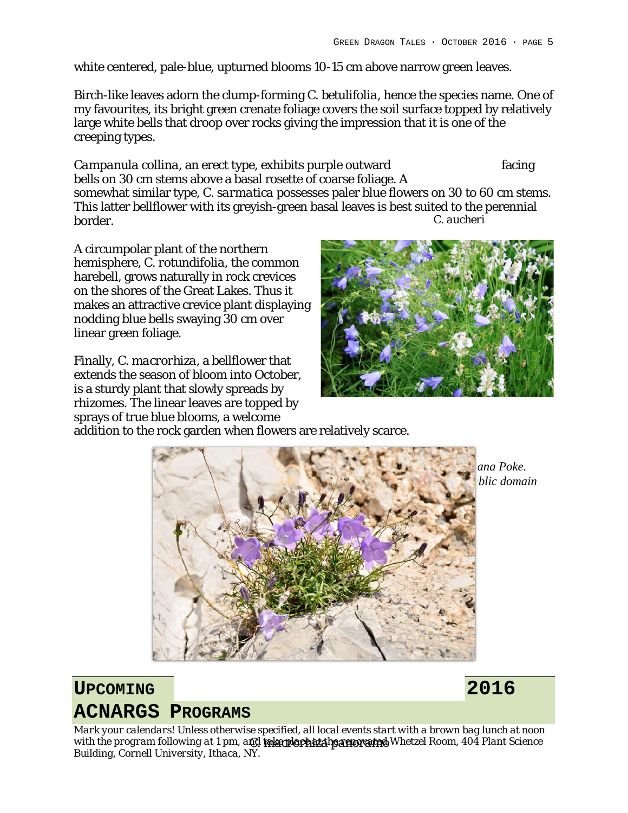white centered, pale-blue, upturned blooms 10-15 cm above narrow green leaves.

Birch-like leaves adorn the clump-forming *C. betulifolia*, hence the species name. One of my favourites, its bright green crenate foliage covers the soil surface topped by relatively large white bells that droop over rocks giving the impression that it is one of the creeping types.

Campanula collina, an erect type, exhibits purple outward facing bells on 30 cm stems above a basal rosette of coarse foliage. A somewhat similar type, *C. sarmatica* possesses paler blue flowers on 30 to 60 cm stems. This latter bellflower with its greyish-green basal leaves is best suited to the perennial border. *C. aucheri*

A circumpolar plant of the northern hemisphere, *C. rotundifolia*, the common harebell, grows naturally in rock crevices on the shores of the Great Lakes. Thus it makes an attractive crevice plant displaying nodding blue bells swaying 30 cm over linear green foliage.

Finally, *C. macrorhiza*, a bellflower that extends the season of bloom into October, is a sturdy plant that slowly spreads by rhizomes. The linear leaves are topped by sprays of true blue blooms, a welcome



addition to the rock garden when flowers are relatively scarce.



*C. rotundifolia. Photo by Diana Poke. <i>Alic domain* 

# **UPCOMING 2016 ACNARGS PROGRAMS**

*Mark your calendars! Unless otherwise specified, all local events start with a brown bag lunch at noon with the program following at 1 pm, and take place at the renovated Whetzel Room, 404 Plant Science C. macrorhiza panoramo Building, Cornell University, Ithaca, NY.*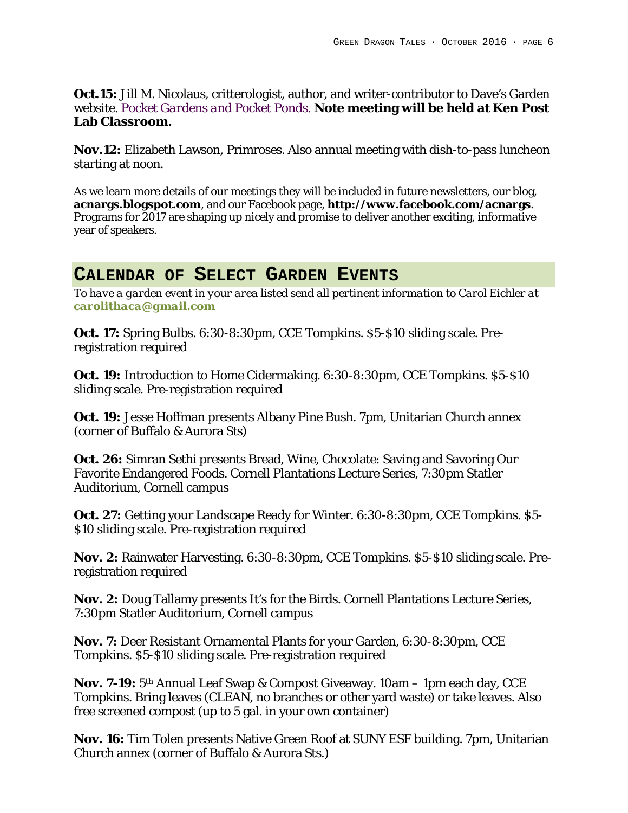**Oct.15:** Jill M. Nicolaus, critterologist, author, and writer-contributor to Dave's Garden website. *Pocket Gardens and Pocket Ponds.* **Note meeting will be held at Ken Post Lab Classroom.**

**Nov.12:** Elizabeth Lawson, Primroses. Also annual meeting with dish-to-pass luncheon starting at noon.

As we learn more details of our meetings they will be included in future newsletters, our blog, **acnargs.blogspot.com**, and our Facebook page, **http://www.facebook.com/acnargs**. Programs for 2017 are shaping up nicely and promise to deliver another exciting, informative year of speakers.

### **CALENDAR OF SELECT GARDEN EVENTS**

*To have a garden event in your area listed send all pertinent information to Carol Eichler at carolithaca@gmail.com*

**Oct. 17:** Spring Bulbs. 6:30-8:30pm, CCE Tompkins. \$5-\$10 sliding scale. Preregistration required

**Oct. 19:** Introduction to Home Cidermaking. 6:30-8:30pm, CCE Tompkins. \$5-\$10 sliding scale. Pre-registration required

**Oct. 19:** Jesse Hoffman presents Albany Pine Bush. 7pm, Unitarian Church annex (corner of Buffalo & Aurora Sts)

**Oct. 26:** Simran Sethi presents Bread, Wine, Chocolate: Saving and Savoring Our Favorite Endangered Foods. Cornell Plantations Lecture Series, 7:30pm Statler Auditorium, Cornell campus

**Oct. 27:** Getting your Landscape Ready for Winter. 6:30-8:30pm, CCE Tompkins. \$5- \$10 sliding scale. Pre-registration required

**Nov. 2:** Rainwater Harvesting. 6:30-8:30pm, CCE Tompkins. \$5-\$10 sliding scale. Preregistration required

**Nov. 2:** Doug Tallamy presents It's for the Birds. Cornell Plantations Lecture Series, 7:30pm Statler Auditorium, Cornell campus

**Nov. 7:** Deer Resistant Ornamental Plants for your Garden, 6:30-8:30pm, CCE Tompkins. \$5-\$10 sliding scale. Pre-registration required

**Nov. 7-19:** 5th Annual Leaf Swap & Compost Giveaway. 10am – 1pm each day, CCE Tompkins. Bring leaves (CLEAN, no branches or other yard waste) or take leaves. Also free screened compost (up to 5 gal. in your own container)

**Nov. 16:** Tim Tolen presents Native Green Roof at SUNY ESF building. 7pm, Unitarian Church annex (corner of Buffalo & Aurora Sts.)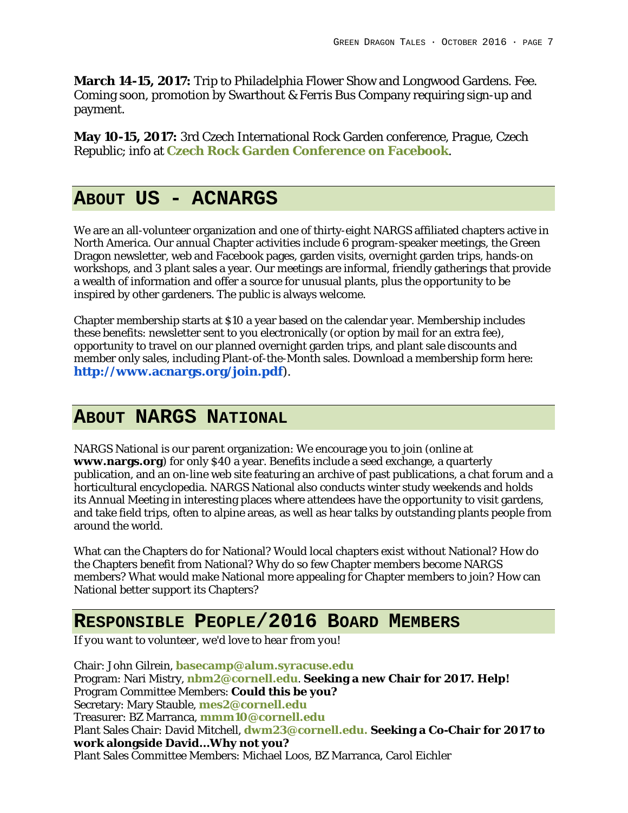**March 14-15, 2017:** Trip to Philadelphia Flower Show and Longwood Gardens. Fee. Coming soon, promotion by Swarthout & Ferris Bus Company requiring sign-up and payment.

**May 10-15, 2017:** 3rd Czech International Rock Garden conference, Prague, Czech Republic; info at **Czech Rock Garden Conference on Facebook**.

## **ABOUT US - ACNARGS**

We are an all-volunteer organization and one of thirty-eight NARGS affiliated chapters active in North America. Our annual Chapter activities include 6 program-speaker meetings, the Green Dragon newsletter, web and Facebook pages, garden visits, overnight garden trips, hands-on workshops, and 3 plant sales a year. Our meetings are informal, friendly gatherings that provide a wealth of information and offer a source for unusual plants, plus the opportunity to be inspired by other gardeners. The public is always welcome.

Chapter membership starts at \$10 a year based on the calendar year. Membership includes these benefits: newsletter sent to you electronically (or option by mail for an extra fee), opportunity to travel on our planned overnight garden trips, and plant sale discounts and member only sales, including Plant-of-the-Month sales. Download a membership form here: **http://www.acnargs.org/join.pdf**).

# **ABOUT NARGS NATIONAL**

NARGS National is our parent organization: We encourage you to join (online at **www.nargs.org**) for only \$40 a year. Benefits include a seed exchange, a quarterly publication, and an on-line web site featuring an archive of past publications, a chat forum and a horticultural encyclopedia. NARGS National also conducts winter study weekends and holds its Annual Meeting in interesting places where attendees have the opportunity to visit gardens, and take field trips, often to alpine areas, as well as hear talks by outstanding plants people from around the world.

What can the Chapters do for National? Would local chapters exist without National? How do the Chapters benefit from National? Why do so few Chapter members become NARGS members? What would make National more appealing for Chapter members to join? How can National better support its Chapters?

## **RESPONSIBLE PEOPLE/2016 BOARD MEMBERS**

*If you want to volunteer, we'd love to hear from you!*

Chair: John Gilrein, **basecamp@alum.syracuse.edu** Program: Nari Mistry, **nbm2@cornell.edu**. **Seeking a new Chair for 2017. Help!** Program Committee Members: **Could this be you?** Secretary: Mary Stauble, **mes2@cornell.edu** Treasurer: BZ Marranca, **mmm10@cornell.edu** Plant Sales Chair: David Mitchell, **dwm23@cornell.edu. Seeking a Co-Chair for 2017 to work alongside David…Why not you?** Plant Sales Committee Members: Michael Loos, BZ Marranca, Carol Eichler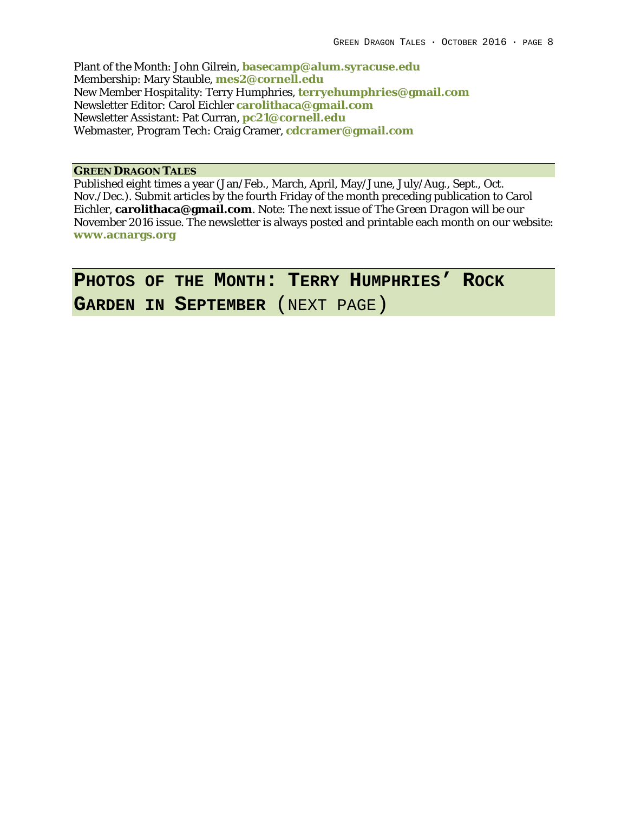Plant of the Month: John Gilrein, **basecamp@alum.syracuse.edu** Membership: Mary Stauble, **mes2@cornell.edu** New Member Hospitality: Terry Humphries, **terryehumphries@gmail.com** Newsletter Editor: Carol Eichler **carolithaca@gmail.com** Newsletter Assistant: Pat Curran, **pc21@cornell.edu** Webmaster, Program Tech: Craig Cramer, **cdcramer@gmail.com**

**GREEN DRAGON TALES**

Published eight times a year (Jan/Feb., March, April, May/June, July/Aug., Sept., Oct. Nov./Dec.). Submit articles by the fourth Friday of the month preceding publication to Carol Eichler, **carolithaca@gmail.com**. Note: The next issue of *The Green Dragon* will be our November 2016 issue. The newsletter is always posted and printable each month on our website: **www.acnargs.org**

**PHOTOS OF THE MONTH: TERRY HUMPHRIES' ROCK GARDEN IN SEPTEMBER** (NEXT PAGE)